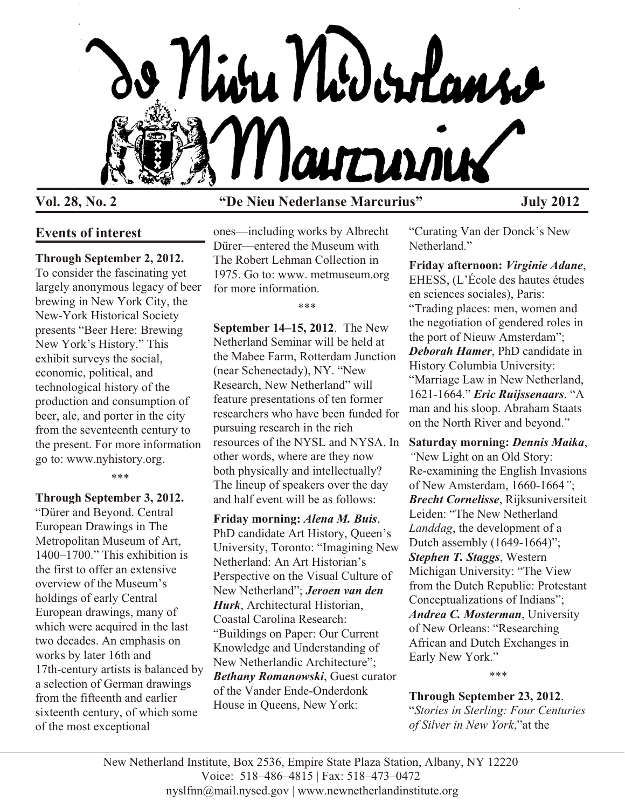

# **Vol. 28, No. 2 "De Nieu Nederlanse Marcurius" July 2012**

## **Events of interest**

#### **Through September 2, 2012.**

To consider the fascinating yet largely anonymous legacy of beer brewing in New York City, the New-York Historical Society presents "Beer Here: Brewing New York's History." This exhibit surveys the social, economic, political, and technological history of the production and consumption of beer, ale, and porter in the city from the seventeenth century to the present. For more information go to: www.nyhistory.org.

\*\*\*

**Through September 3, 2012.** "Dürer and Beyond. Central European Drawings in The Metropolitan Museum of Art, 1400–1700." This exhibition is the first to offer an extensive overview of the Museum's holdings of early Central European drawings, many of which were acquired in the last two decades. An emphasis on works by later 16th and 17th-century artists is balanced by a selection of German drawings from the fifteenth and earlier sixteenth century, of which some of the most exceptional

ones—including works by Albrecht Dürer—entered the Museum with The Robert Lehman Collection in 1975. Go to: www. metmuseum.org for more information.

\*\*\*

**September 14–15, 2012**. The New Netherland Seminar will be held at the Mabee Farm, Rotterdam Junction (near Schenectady), NY. "New Research, New Netherland" will feature presentations of ten former researchers who have been funded for pursuing research in the rich resources of the NYSL and NYSA. In other words, where are they now both physically and intellectually? The lineup of speakers over the day and half event will be as follows:

**Friday morning:** *Alena M. Buis*, PhD candidate Art History, Queen's University, Toronto: "Imagining New Netherland: An Art Historian's Perspective on the Visual Culture of New Netherland"; *Jeroen van den Hurk*, Architectural Historian, Coastal Carolina Research: "Buildings on Paper: Our Current Knowledge and Understanding of New Netherlandic Architecture"; *Bethany Romanowski*, Guest curator of the Vander Ende-Onderdonk House in Queens, New York:

"Curating Van der Donck's New Netherland."

**Friday afternoon:** *Virginie Adane*, EHESS, (L'École des hautes études en sciences sociales), Paris: "Trading places: men, women and the negotiation of gendered roles in the port of Nieuw Amsterdam"; **Deborah Hamer**, PhD candidate in History Columbia University: "Marriage Law in New Netherland, 1621-1664." *Eric Ruijssenaars*. "A man and his sloop. Abraham Staats on the North River and beyond."

**Saturday morning:** *Dennis Maika*, *"*New Light on an Old Story: Re-examining the English Invasions of New Amsterdam, 1660-1664*"*; *Brecht Cornelisse*, Rijksuniversiteit Leiden: "The New Netherland *Landdag*, the development of a Dutch assembly (1649-1664)"; *Stephen T. Staggs*, Western Michigan University: "The View from the Dutch Republic: Protestant Conceptualizations of Indians"; *Andrea C. Mosterman*, University of New Orleans: "Researching African and Dutch Exchanges in Early New York."

\*\*\*

**Through September 23, 2012**. "*Stories in Sterling: Four Centuries of Silver in New York*,"at the

New Netherland Institute, Box 2536, Empire State Plaza Station, Albany, NY 12220 Voice: 518–486–4815 | Fax: 518–473–0472 nyslfnn@mail.nysed.gov | www.newnetherlandinstitute.org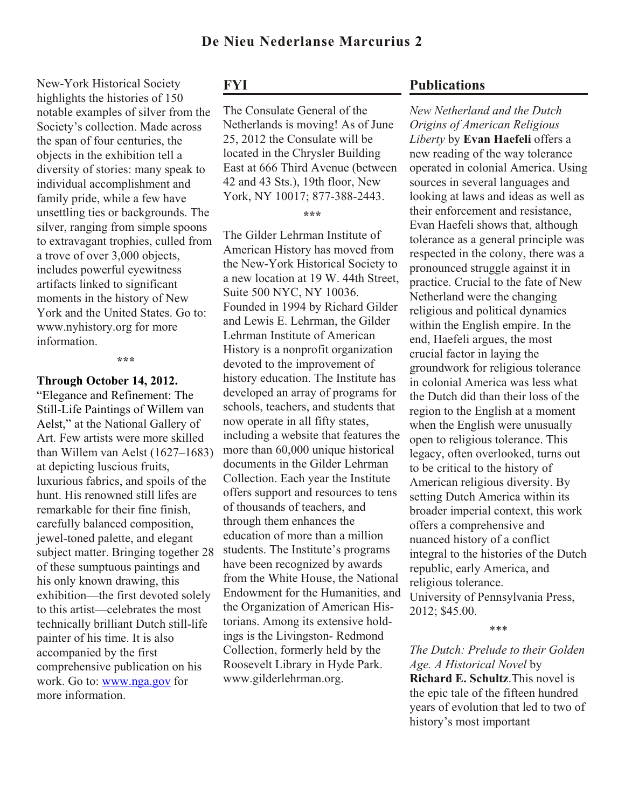New-York Historical Society highlights the histories of 150 notable examples of silver from the Society's collection. Made across the span of four centuries, the objects in the exhibition tell a diversity of stories: many speak to individual accomplishment and family pride, while a few have unsettling ties or backgrounds. The silver, ranging from simple spoons to extravagant trophies, culled from a trove of over 3,000 objects, includes powerful eyewitness artifacts linked to significant moments in the history of New York and the United States. Go to: www.nyhistory.org for more information.

**\*\*\***

#### **Through October 14, 2012.**

"Elegance and Refinement: The Still-Life Paintings of Willem van Aelst," at the National Gallery of Art. Few artists were more skilled than Willem van Aelst (1627–1683) at depicting luscious fruits, luxurious fabrics, and spoils of the hunt. His renowned still lifes are remarkable for their fine finish, carefully balanced composition, jewel-toned palette, and elegant subject matter. Bringing together 28 of these sumptuous paintings and his only known drawing, this exhibition—the first devoted solely to this artist—celebrates the most technically brilliant Dutch still-life painter of his time. It is also accompanied by the first comprehensive publication on his work. Go to: [www.nga.gov](http://www.nga.gov) for more information.

# **FYI**

The Consulate General of the Netherlands is moving! As of June 25, 2012 the Consulate will be located in the Chrysler Building East at 666 Third Avenue (between 42 and 43 Sts.), 19th floor, New York, NY 10017; 877-388-2443.

**\*\*\***

The Gilder Lehrman Institute of American History has moved from the New-York Historical Society to a new location at 19 W. 44th Street, Suite 500 NYC, NY 10036. Founded in 1994 by Richard Gilder and Lewis E. Lehrman, the Gilder Lehrman Institute of American History is a nonprofit organization devoted to the improvement of history education. The Institute has developed an array of programs for schools, teachers, and students that now operate in all fifty states, including a website that features the more than 60,000 unique historical documents in the Gilder Lehrman Collection. Each year the Institute offers support and resources to tens of thousands of teachers, and through them enhances the education of more than a million students. The Institute's programs have been recognized by awards from the White House, the National Endowment for the Humanities, and the Organization of American Historians. Among its extensive holdings is the Livingston- Redmond Collection, formerly held by the Roosevelt Library in Hyde Park. www.gilderlehrman.org.

# **Publications**

*New Netherland and the Dutch Origins of American Religious Liberty* by **Evan Haefeli** offers a new reading of the way tolerance operated in colonial America. Using sources in several languages and looking at laws and ideas as well as their enforcement and resistance, Evan Haefeli shows that, although tolerance as a general principle was respected in the colony, there was a pronounced struggle against it in practice. Crucial to the fate of New Netherland were the changing religious and political dynamics within the English empire. In the end, Haefeli argues, the most crucial factor in laying the groundwork for religious tolerance in colonial America was less what the Dutch did than their loss of the region to the English at a moment when the English were unusually open to religious tolerance. This legacy, often overlooked, turns out to be critical to the history of American religious diversity. By setting Dutch America within its broader imperial context, this work offers a comprehensive and nuanced history of a conflict integral to the histories of the Dutch republic, early America, and religious tolerance. University of Pennsylvania Press, 2012; \$45.00.

\*\*\*

*The Dutch: Prelude to their Golden Age. A Historical Novel* by **Richard E. Schultz**.This novel is the epic tale of the fifteen hundred years of evolution that led to two of history's most important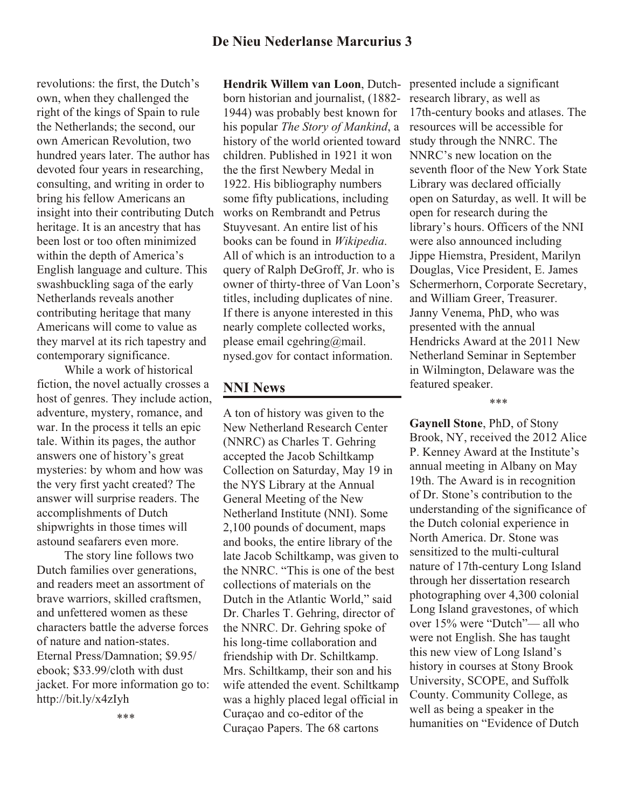revolutions: the first, the Dutch's own, when they challenged the right of the kings of Spain to rule the Netherlands; the second, our own American Revolution, two hundred years later. The author has devoted four years in researching, consulting, and writing in order to bring his fellow Americans an insight into their contributing Dutch heritage. It is an ancestry that has been lost or too often minimized within the depth of America's English language and culture. This swashbuckling saga of the early Netherlands reveals another contributing heritage that many Americans will come to value as they marvel at its rich tapestry and contemporary significance.

 While a work of historical fiction, the novel actually crosses a host of genres. They include action, adventure, mystery, romance, and war. In the process it tells an epic tale. Within its pages, the author answers one of history's great mysteries: by whom and how was the very first yacht created? The answer will surprise readers. The accomplishments of Dutch shipwrights in those times will astound seafarers even more.

 The story line follows two Dutch families over generations, and readers meet an assortment of brave warriors, skilled craftsmen, and unfettered women as these characters battle the adverse forces of nature and nation-states. Eternal Press/Damnation; \$9.95/ ebook; \$33.99/cloth with dust jacket. For more information go to: http://bit.ly/x4zIyh

**Hendrik Willem van Loon**, Dutchborn historian and journalist, (1882- 1944) was probably best known for his popular *The Story of Mankind*, a history of the world oriented toward children. Published in 1921 it won the the first Newbery Medal in 1922. His bibliography numbers some fifty publications, including works on Rembrandt and Petrus Stuyvesant. An entire list of his books can be found in *Wikipedia*. All of which is an introduction to a query of Ralph DeGroff, Jr. who is owner of thirty-three of Van Loon's titles, including duplicates of nine. If there is anyone interested in this nearly complete collected works, please email cgehring@mail. nysed.gov for contact information.

## **NNI News**

A ton of history was given to the New Netherland Research Center (NNRC) as Charles T. Gehring accepted the Jacob Schiltkamp Collection on Saturday, May 19 in the NYS Library at the Annual General Meeting of the New Netherland Institute (NNI). Some 2,100 pounds of document, maps and books, the entire library of the late Jacob Schiltkamp, was given to the NNRC. "This is one of the best collections of materials on the Dutch in the Atlantic World," said Dr. Charles T. Gehring, director of the NNRC. Dr. Gehring spoke of his long-time collaboration and friendship with Dr. Schiltkamp. Mrs. Schiltkamp, their son and his wife attended the event. Schiltkamp was a highly placed legal official in Curaçao and co-editor of the Curaçao Papers. The 68 cartons

17th-century books and atlases. The resources will be accessible for study through the NNRC. The NNRC's new location on the seventh floor of the New York State Library was declared officially open on Saturday, as well. It will be open for research during the library's hours. Officers of the NNI were also announced including Jippe Hiemstra, President, Marilyn Douglas, Vice President, E. James Schermerhorn, Corporate Secretary, and William Greer, Treasurer. Janny Venema, PhD, who was presented with the annual Hendricks Award at the 2011 New Netherland Seminar in September in Wilmington, Delaware was the featured speaker.

presented include a significant research library, as well as

\*\*\*

**Gaynell Stone**, PhD, of Stony Brook, NY, received the 2012 Alice P. Kenney Award at the Institute's annual meeting in Albany on May 19th. The Award is in recognition of Dr. Stone's contribution to the understanding of the significance of the Dutch colonial experience in North America. Dr. Stone was sensitized to the multi-cultural nature of 17th-century Long Island through her dissertation research photographing over 4,300 colonial Long Island gravestones, of which over 15% were "Dutch"— all who were not English. She has taught this new view of Long Island's history in courses at Stony Brook University, SCOPE, and Suffolk County. Community College, as well as being a speaker in the humanities on "Evidence of Dutch